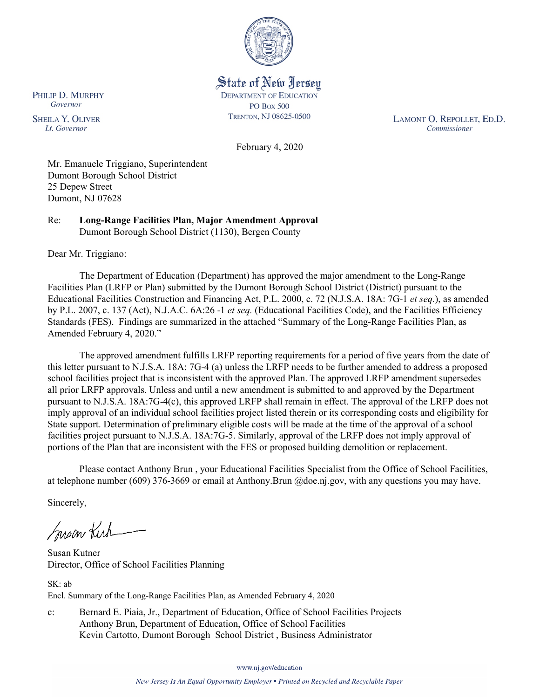

State of New Jersey **DEPARTMENT OF EDUCATION PO Box 500** TRENTON, NJ 08625-0500

LAMONT O. REPOLLET, ED.D. Commissioner

February 4, 2020

Mr. Emanuele Triggiano, Superintendent Dumont Borough School District 25 Depew Street Dumont, NJ 07628

Re: **Long-Range Facilities Plan, Major Amendment Approval** Dumont Borough School District (1130), Bergen County

Dear Mr. Triggiano:

PHILIP D. MURPHY Governor

**SHEILA Y. OLIVER** 

Lt. Governor

The Department of Education (Department) has approved the major amendment to the Long-Range Facilities Plan (LRFP or Plan) submitted by the Dumont Borough School District (District) pursuant to the Educational Facilities Construction and Financing Act, P.L. 2000, c. 72 (N.J.S.A. 18A: 7G-1 *et seq.*), as amended by P.L. 2007, c. 137 (Act), N.J.A.C. 6A:26 -1 *et seq.* (Educational Facilities Code), and the Facilities Efficiency Standards (FES). Findings are summarized in the attached "Summary of the Long-Range Facilities Plan, as Amended February 4, 2020."

The approved amendment fulfills LRFP reporting requirements for a period of five years from the date of this letter pursuant to N.J.S.A. 18A: 7G-4 (a) unless the LRFP needs to be further amended to address a proposed school facilities project that is inconsistent with the approved Plan. The approved LRFP amendment supersedes all prior LRFP approvals. Unless and until a new amendment is submitted to and approved by the Department pursuant to N.J.S.A. 18A:7G-4(c), this approved LRFP shall remain in effect. The approval of the LRFP does not imply approval of an individual school facilities project listed therein or its corresponding costs and eligibility for State support. Determination of preliminary eligible costs will be made at the time of the approval of a school facilities project pursuant to N.J.S.A. 18A:7G-5. Similarly, approval of the LRFP does not imply approval of portions of the Plan that are inconsistent with the FES or proposed building demolition or replacement.

Please contact Anthony Brun , your Educational Facilities Specialist from the Office of School Facilities, at telephone number (609) 376-3669 or email at Anthony.Brun @doe.nj.gov, with any questions you may have.

Sincerely,

Susan Kich

Susan Kutner Director, Office of School Facilities Planning

SK: ab Encl. Summary of the Long-Range Facilities Plan, as Amended February 4, 2020

c: Bernard E. Piaia, Jr., Department of Education, Office of School Facilities Projects Anthony Brun, Department of Education, Office of School Facilities Kevin Cartotto, Dumont Borough School District , Business Administrator

www.nj.gov/education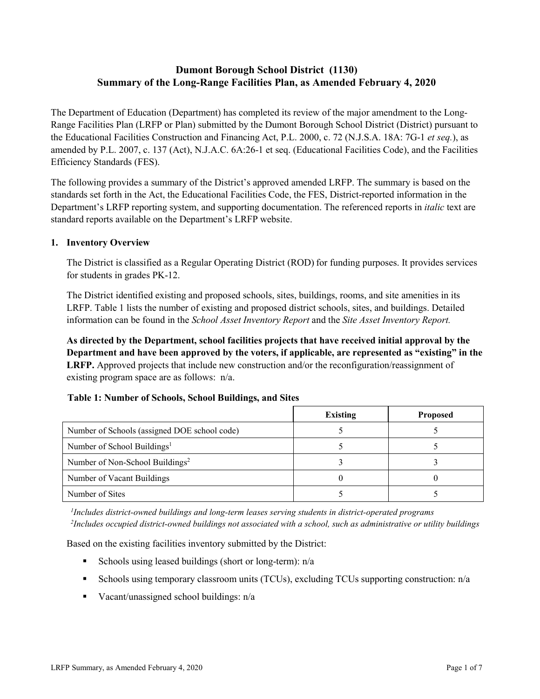# **Dumont Borough School District (1130) Summary of the Long-Range Facilities Plan, as Amended February 4, 2020**

The Department of Education (Department) has completed its review of the major amendment to the Long-Range Facilities Plan (LRFP or Plan) submitted by the Dumont Borough School District (District) pursuant to the Educational Facilities Construction and Financing Act, P.L. 2000, c. 72 (N.J.S.A. 18A: 7G-1 *et seq.*), as amended by P.L. 2007, c. 137 (Act), N.J.A.C. 6A:26-1 et seq. (Educational Facilities Code), and the Facilities Efficiency Standards (FES).

The following provides a summary of the District's approved amended LRFP. The summary is based on the standards set forth in the Act, the Educational Facilities Code, the FES, District-reported information in the Department's LRFP reporting system, and supporting documentation. The referenced reports in *italic* text are standard reports available on the Department's LRFP website.

### **1. Inventory Overview**

The District is classified as a Regular Operating District (ROD) for funding purposes. It provides services for students in grades PK-12.

The District identified existing and proposed schools, sites, buildings, rooms, and site amenities in its LRFP. Table 1 lists the number of existing and proposed district schools, sites, and buildings. Detailed information can be found in the *School Asset Inventory Report* and the *Site Asset Inventory Report.*

**As directed by the Department, school facilities projects that have received initial approval by the Department and have been approved by the voters, if applicable, are represented as "existing" in the LRFP.** Approved projects that include new construction and/or the reconfiguration/reassignment of existing program space are as follows: n/a.

|  | Table 1: Number of Schools, School Buildings, and Sites |
|--|---------------------------------------------------------|
|--|---------------------------------------------------------|

|                                              | <b>Existing</b> | <b>Proposed</b> |
|----------------------------------------------|-----------------|-----------------|
| Number of Schools (assigned DOE school code) |                 |                 |
| Number of School Buildings <sup>1</sup>      |                 |                 |
| Number of Non-School Buildings <sup>2</sup>  |                 |                 |
| Number of Vacant Buildings                   |                 |                 |
| Number of Sites                              |                 |                 |

*1 Includes district-owned buildings and long-term leases serving students in district-operated programs 2 Includes occupied district-owned buildings not associated with a school, such as administrative or utility buildings*

Based on the existing facilities inventory submitted by the District:

- Schools using leased buildings (short or long-term):  $n/a$
- Schools using temporary classroom units (TCUs), excluding TCUs supporting construction: n/a
- Vacant/unassigned school buildings:  $n/a$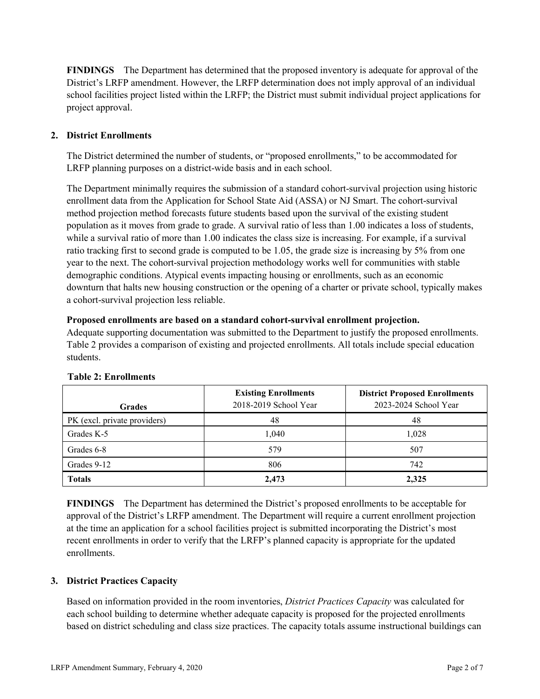**FINDINGS** The Department has determined that the proposed inventory is adequate for approval of the District's LRFP amendment. However, the LRFP determination does not imply approval of an individual school facilities project listed within the LRFP; the District must submit individual project applications for project approval.

# **2. District Enrollments**

The District determined the number of students, or "proposed enrollments," to be accommodated for LRFP planning purposes on a district-wide basis and in each school.

The Department minimally requires the submission of a standard cohort-survival projection using historic enrollment data from the Application for School State Aid (ASSA) or NJ Smart. The cohort-survival method projection method forecasts future students based upon the survival of the existing student population as it moves from grade to grade. A survival ratio of less than 1.00 indicates a loss of students, while a survival ratio of more than 1.00 indicates the class size is increasing. For example, if a survival ratio tracking first to second grade is computed to be 1.05, the grade size is increasing by 5% from one year to the next. The cohort-survival projection methodology works well for communities with stable demographic conditions. Atypical events impacting housing or enrollments, such as an economic downturn that halts new housing construction or the opening of a charter or private school, typically makes a cohort-survival projection less reliable.

### **Proposed enrollments are based on a standard cohort-survival enrollment projection.**

Adequate supporting documentation was submitted to the Department to justify the proposed enrollments. Table 2 provides a comparison of existing and projected enrollments. All totals include special education students.

|                              | <b>Existing Enrollments</b><br>2018-2019 School Year | <b>District Proposed Enrollments</b><br>2023-2024 School Year |
|------------------------------|------------------------------------------------------|---------------------------------------------------------------|
| <b>Grades</b>                |                                                      |                                                               |
| PK (excl. private providers) | 48                                                   | 48                                                            |
| Grades K-5                   | 1.040                                                | 1,028                                                         |
| Grades 6-8                   | 579                                                  | 507                                                           |
| Grades 9-12                  | 806                                                  | 742                                                           |
| <b>Totals</b>                | 2,473                                                | 2,325                                                         |

#### **Table 2: Enrollments**

**FINDINGS** The Department has determined the District's proposed enrollments to be acceptable for approval of the District's LRFP amendment. The Department will require a current enrollment projection at the time an application for a school facilities project is submitted incorporating the District's most recent enrollments in order to verify that the LRFP's planned capacity is appropriate for the updated enrollments.

# **3. District Practices Capacity**

Based on information provided in the room inventories, *District Practices Capacity* was calculated for each school building to determine whether adequate capacity is proposed for the projected enrollments based on district scheduling and class size practices. The capacity totals assume instructional buildings can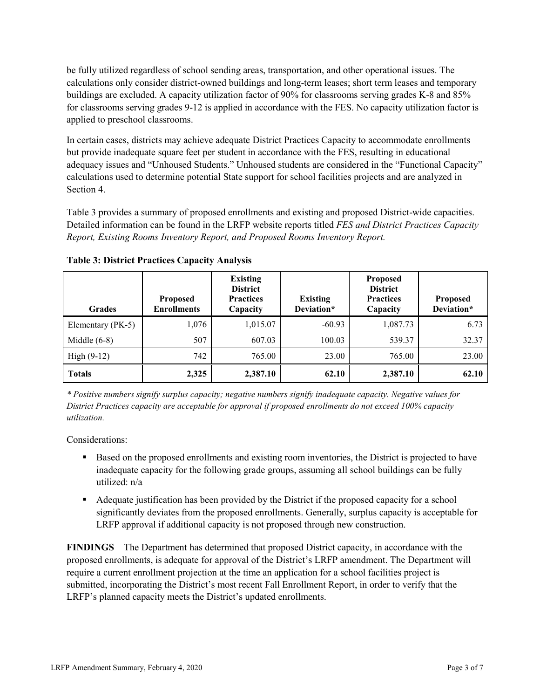be fully utilized regardless of school sending areas, transportation, and other operational issues. The calculations only consider district-owned buildings and long-term leases; short term leases and temporary buildings are excluded. A capacity utilization factor of 90% for classrooms serving grades K-8 and 85% for classrooms serving grades 9-12 is applied in accordance with the FES. No capacity utilization factor is applied to preschool classrooms.

In certain cases, districts may achieve adequate District Practices Capacity to accommodate enrollments but provide inadequate square feet per student in accordance with the FES, resulting in educational adequacy issues and "Unhoused Students." Unhoused students are considered in the "Functional Capacity" calculations used to determine potential State support for school facilities projects and are analyzed in Section 4.

Table 3 provides a summary of proposed enrollments and existing and proposed District-wide capacities. Detailed information can be found in the LRFP website reports titled *FES and District Practices Capacity Report, Existing Rooms Inventory Report, and Proposed Rooms Inventory Report.*

| <b>Grades</b>     | <b>Proposed</b><br><b>Enrollments</b> | <b>Existing</b><br><b>District</b><br><b>Practices</b><br>Capacity | <b>Existing</b><br>Deviation* | <b>Proposed</b><br><b>District</b><br><b>Practices</b><br>Capacity | <b>Proposed</b><br>Deviation* |
|-------------------|---------------------------------------|--------------------------------------------------------------------|-------------------------------|--------------------------------------------------------------------|-------------------------------|
| Elementary (PK-5) | 1,076                                 | 1,015.07                                                           | $-60.93$                      | 1,087.73                                                           | 6.73                          |
| Middle $(6-8)$    | 507                                   | 607.03                                                             | 100.03                        | 539.37                                                             | 32.37                         |
| High $(9-12)$     | 742                                   | 765.00                                                             | 23.00                         | 765.00                                                             | 23.00                         |
| <b>Totals</b>     | 2,325                                 | 2,387.10                                                           | 62.10                         | 2,387.10                                                           | 62.10                         |

**Table 3: District Practices Capacity Analysis**

*\* Positive numbers signify surplus capacity; negative numbers signify inadequate capacity. Negative values for District Practices capacity are acceptable for approval if proposed enrollments do not exceed 100% capacity utilization.*

Considerations:

- **Based on the proposed enrollments and existing room inventories, the District is projected to have** inadequate capacity for the following grade groups, assuming all school buildings can be fully utilized: n/a
- Adequate justification has been provided by the District if the proposed capacity for a school significantly deviates from the proposed enrollments. Generally, surplus capacity is acceptable for LRFP approval if additional capacity is not proposed through new construction.

**FINDINGS**The Department has determined that proposed District capacity, in accordance with the proposed enrollments, is adequate for approval of the District's LRFP amendment. The Department will require a current enrollment projection at the time an application for a school facilities project is submitted, incorporating the District's most recent Fall Enrollment Report, in order to verify that the LRFP's planned capacity meets the District's updated enrollments.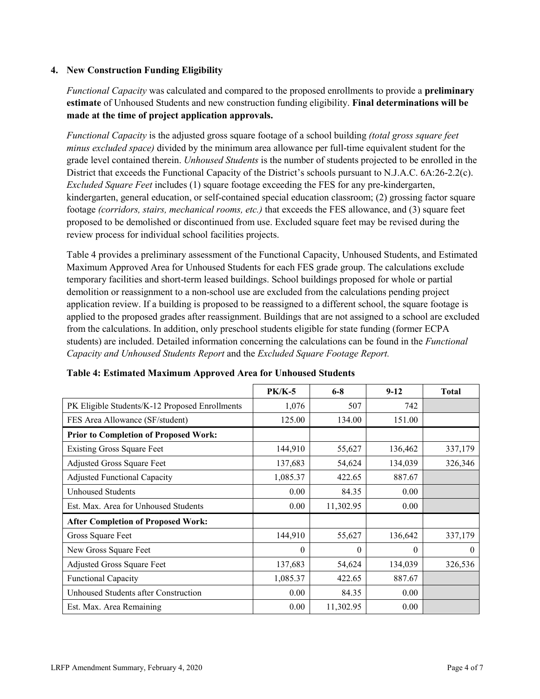### **4. New Construction Funding Eligibility**

*Functional Capacity* was calculated and compared to the proposed enrollments to provide a **preliminary estimate** of Unhoused Students and new construction funding eligibility. **Final determinations will be made at the time of project application approvals.**

*Functional Capacity* is the adjusted gross square footage of a school building *(total gross square feet minus excluded space)* divided by the minimum area allowance per full-time equivalent student for the grade level contained therein. *Unhoused Students* is the number of students projected to be enrolled in the District that exceeds the Functional Capacity of the District's schools pursuant to N.J.A.C. 6A:26-2.2(c). *Excluded Square Feet* includes (1) square footage exceeding the FES for any pre-kindergarten, kindergarten, general education, or self-contained special education classroom; (2) grossing factor square footage *(corridors, stairs, mechanical rooms, etc.)* that exceeds the FES allowance, and (3) square feet proposed to be demolished or discontinued from use. Excluded square feet may be revised during the review process for individual school facilities projects.

Table 4 provides a preliminary assessment of the Functional Capacity, Unhoused Students, and Estimated Maximum Approved Area for Unhoused Students for each FES grade group. The calculations exclude temporary facilities and short-term leased buildings. School buildings proposed for whole or partial demolition or reassignment to a non-school use are excluded from the calculations pending project application review. If a building is proposed to be reassigned to a different school, the square footage is applied to the proposed grades after reassignment. Buildings that are not assigned to a school are excluded from the calculations. In addition, only preschool students eligible for state funding (former ECPA students) are included. Detailed information concerning the calculations can be found in the *Functional Capacity and Unhoused Students Report* and the *Excluded Square Footage Report.*

|                                                | <b>PK/K-5</b> | $6 - 8$   | $9 - 12$ | <b>Total</b> |
|------------------------------------------------|---------------|-----------|----------|--------------|
| PK Eligible Students/K-12 Proposed Enrollments | 1,076         | 507       | 742      |              |
| FES Area Allowance (SF/student)                | 125.00        | 134.00    | 151.00   |              |
| <b>Prior to Completion of Proposed Work:</b>   |               |           |          |              |
| <b>Existing Gross Square Feet</b>              | 144,910       | 55,627    | 136,462  | 337,179      |
| Adjusted Gross Square Feet                     | 137,683       | 54,624    | 134,039  | 326,346      |
| <b>Adjusted Functional Capacity</b>            | 1,085.37      | 422.65    | 887.67   |              |
| <b>Unhoused Students</b>                       | 0.00          | 84.35     | 0.00     |              |
| Est. Max. Area for Unhoused Students           | 0.00          | 11,302.95 | 0.00     |              |
| <b>After Completion of Proposed Work:</b>      |               |           |          |              |
| Gross Square Feet                              | 144,910       | 55,627    | 136,642  | 337,179      |
| New Gross Square Feet                          | $\Omega$      | $\theta$  | $\theta$ | $\theta$     |
| Adjusted Gross Square Feet                     | 137,683       | 54,624    | 134,039  | 326,536      |
| Functional Capacity                            | 1,085.37      | 422.65    | 887.67   |              |
| Unhoused Students after Construction           | 0.00          | 84.35     | 0.00     |              |
| Est. Max. Area Remaining                       | 0.00          | 11,302.95 | 0.00     |              |

| Table 4: Estimated Maximum Approved Area for Unhoused Students |  |  |  |
|----------------------------------------------------------------|--|--|--|
|----------------------------------------------------------------|--|--|--|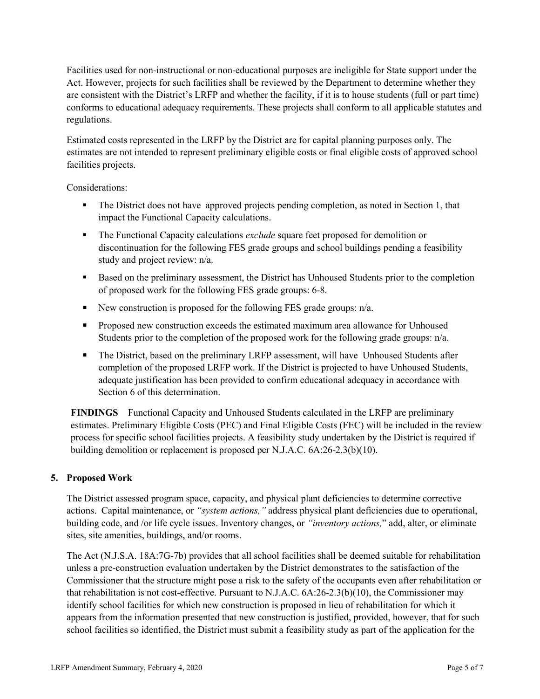Facilities used for non-instructional or non-educational purposes are ineligible for State support under the Act. However, projects for such facilities shall be reviewed by the Department to determine whether they are consistent with the District's LRFP and whether the facility, if it is to house students (full or part time) conforms to educational adequacy requirements. These projects shall conform to all applicable statutes and regulations.

Estimated costs represented in the LRFP by the District are for capital planning purposes only. The estimates are not intended to represent preliminary eligible costs or final eligible costs of approved school facilities projects.

Considerations:

- The District does not have approved projects pending completion, as noted in Section 1, that impact the Functional Capacity calculations.
- The Functional Capacity calculations *exclude* square feet proposed for demolition or discontinuation for the following FES grade groups and school buildings pending a feasibility study and project review: n/a.
- Based on the preliminary assessment, the District has Unhoused Students prior to the completion of proposed work for the following FES grade groups: 6-8.
- New construction is proposed for the following FES grade groups:  $n/a$ .
- **Proposed new construction exceeds the estimated maximum area allowance for Unhoused** Students prior to the completion of the proposed work for the following grade groups:  $n/a$ .
- The District, based on the preliminary LRFP assessment, will have Unhoused Students after completion of the proposed LRFP work. If the District is projected to have Unhoused Students, adequate justification has been provided to confirm educational adequacy in accordance with Section 6 of this determination.

**FINDINGS** Functional Capacity and Unhoused Students calculated in the LRFP are preliminary estimates. Preliminary Eligible Costs (PEC) and Final Eligible Costs (FEC) will be included in the review process for specific school facilities projects. A feasibility study undertaken by the District is required if building demolition or replacement is proposed per N.J.A.C. 6A:26-2.3(b)(10).

# **5. Proposed Work**

The District assessed program space, capacity, and physical plant deficiencies to determine corrective actions. Capital maintenance, or *"system actions,"* address physical plant deficiencies due to operational, building code, and /or life cycle issues. Inventory changes, or *"inventory actions,*" add, alter, or eliminate sites, site amenities, buildings, and/or rooms.

The Act (N.J.S.A. 18A:7G-7b) provides that all school facilities shall be deemed suitable for rehabilitation unless a pre-construction evaluation undertaken by the District demonstrates to the satisfaction of the Commissioner that the structure might pose a risk to the safety of the occupants even after rehabilitation or that rehabilitation is not cost-effective. Pursuant to N.J.A.C. 6A:26-2.3(b)(10), the Commissioner may identify school facilities for which new construction is proposed in lieu of rehabilitation for which it appears from the information presented that new construction is justified, provided, however, that for such school facilities so identified, the District must submit a feasibility study as part of the application for the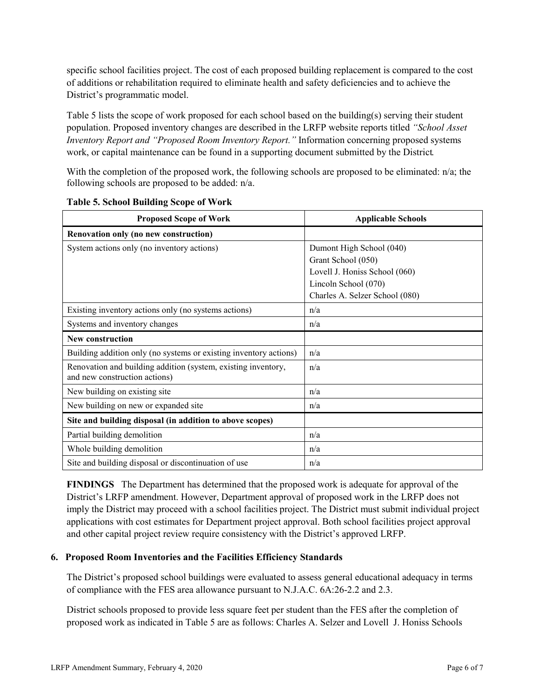specific school facilities project. The cost of each proposed building replacement is compared to the cost of additions or rehabilitation required to eliminate health and safety deficiencies and to achieve the District's programmatic model.

Table 5 lists the scope of work proposed for each school based on the building(s) serving their student population. Proposed inventory changes are described in the LRFP website reports titled *"School Asset Inventory Report and "Proposed Room Inventory Report."* Information concerning proposed systems work, or capital maintenance can be found in a supporting document submitted by the District.

With the completion of the proposed work, the following schools are proposed to be eliminated: n/a; the following schools are proposed to be added: n/a.

| <b>Proposed Scope of Work</b>                                                                  | <b>Applicable Schools</b>      |
|------------------------------------------------------------------------------------------------|--------------------------------|
| Renovation only (no new construction)                                                          |                                |
| System actions only (no inventory actions)                                                     | Dumont High School (040)       |
|                                                                                                | Grant School (050)             |
|                                                                                                | Lovell J. Honiss School (060)  |
|                                                                                                | Lincoln School (070)           |
|                                                                                                | Charles A. Selzer School (080) |
| Existing inventory actions only (no systems actions)                                           | n/a                            |
| Systems and inventory changes                                                                  | n/a                            |
| <b>New construction</b>                                                                        |                                |
| Building addition only (no systems or existing inventory actions)                              | n/a                            |
| Renovation and building addition (system, existing inventory,<br>and new construction actions) | n/a                            |
| New building on existing site                                                                  | n/a                            |
| New building on new or expanded site                                                           | n/a                            |
| Site and building disposal (in addition to above scopes)                                       |                                |
| Partial building demolition                                                                    | n/a                            |
| Whole building demolition                                                                      | n/a                            |
| Site and building disposal or discontinuation of use                                           | n/a                            |

**Table 5. School Building Scope of Work**

**FINDINGS** The Department has determined that the proposed work is adequate for approval of the District's LRFP amendment. However, Department approval of proposed work in the LRFP does not imply the District may proceed with a school facilities project. The District must submit individual project applications with cost estimates for Department project approval. Both school facilities project approval and other capital project review require consistency with the District's approved LRFP.

#### **6. Proposed Room Inventories and the Facilities Efficiency Standards**

The District's proposed school buildings were evaluated to assess general educational adequacy in terms of compliance with the FES area allowance pursuant to N.J.A.C. 6A:26-2.2 and 2.3.

District schools proposed to provide less square feet per student than the FES after the completion of proposed work as indicated in Table 5 are as follows: Charles A. Selzer and Lovell J. Honiss Schools